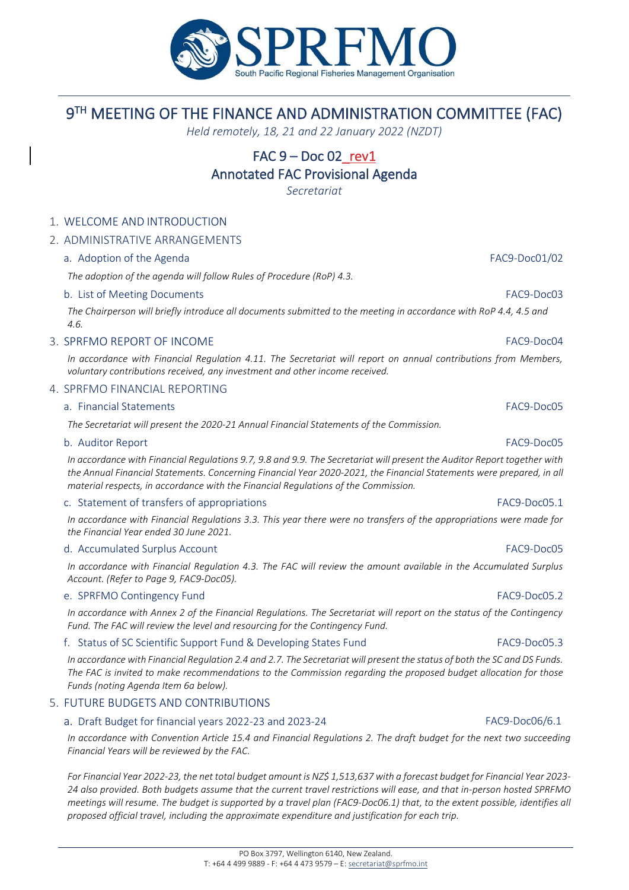

# 9 TH MEETING OF THE FINANCE AND ADMINISTRATION COMMITTEE (FAC)

*Held remotely, 18, 21 and 22 January 2022 (NZDT)*

# FAC  $9 - Doc 02$  rev1

## Annotated FAC Provisional Agenda

*Secretariat*

## 1. WELCOME AND INTRODUCTION

## 2. ADMINISTRATIVE ARRANGEMENTS

## a. Adoption of the Agenda FAC9-Doc01/02

*The adoption of the agenda will follow Rules of Procedure (RoP) 4.3.*

## b. List of Meeting Documents FAC9-Doc03

*The Chairperson will briefly introduce all documents submitted to the meeting in accordance with RoP 4.4, 4.5 and 4.6.*

## 3. SPRFMO REPORT OF INCOME FAC9-DOCO4

*In accordance with Financial Regulation 4.11. The Secretariat will report on annual contributions from Members, voluntary contributions received, any investment and other income received.* 

## 4. SPRFMO FINANCIAL REPORTING

## a. Financial Statements FAC9-Doc05

*The Secretariat will present the 2020-21 Annual Financial Statements of the Commission.*

## b. Auditor Report FAC9-Doc05

*In accordance with Financial Regulations 9.7, 9.8 and 9.9. The Secretariat will present the Auditor Report together with*  the Annual Financial Statements. Concerning Financial Year 2020-2021, the Financial Statements were prepared, in all *material respects, in accordance with the Financial Regulations of the Commission.*

## c. Statement of transfers of appropriations FAC9-Doc05.1

*In accordance with Financial Regulations 3.3. This year there were no transfers of the appropriations were made for the Financial Year ended 30 June 2021.*

## d. Accumulated Surplus Account FAC9-Doc05

*In accordance with Financial Regulation 4.3. The FAC will review the amount available in the Accumulated Surplus Account. (Refer to Page 9, FAC9-Doc05).*

## e. SPRFMO Contingency Fund FAC9-Doc05.2

*In accordance with Annex 2 of the Financial Regulations. The Secretariat will report on the status of the Contingency*  Fund. The FAC will review the level and resourcing for the Contingency Fund.

## f. Status of SC Scientific Support Fund & Developing States Fund FAC9-Doc05.3

*In accordance with Financial Regulation 2.4 and 2.7. The Secretariat will present the status of both the SC and DS Funds. The FAC is invited to make recommendations to the Commission regarding the proposed budget allocation for those Funds (noting Agenda Item 6a below).* 

## 5. FUTURE BUDGETS AND CONTRIBUTIONS

## a. Draft Budget for financial years 2022-23 and 2023-24 FAC9-Doc06/6.1

*In accordance with Convention Article 15.4 and Financial Regulations 2. The draft budget for the next two succeeding Financial Years will be reviewed by the FAC.* 

*For Financial Year 2022-23, the net total budget amount is NZ\$ 1,513,637 with a forecast budget for Financial Year 2023- 24 also provided. Both budgets assume that the current travel restrictions will ease, and that in-person hosted SPRFMO meetings will resume. The budget is supported by a travel plan (FAC9-Doc06.1) that, to the extent possible, identifies all proposed official travel, including the approximate expenditure and justification for each trip.*

## PO Box 3797, Wellington 6140, New Zealand. T: +64 4 499 9889 - F: +64 4 473 9579 – E[: secretariat@sprfmo.int](mailto:secretariat@sprfmo.int)